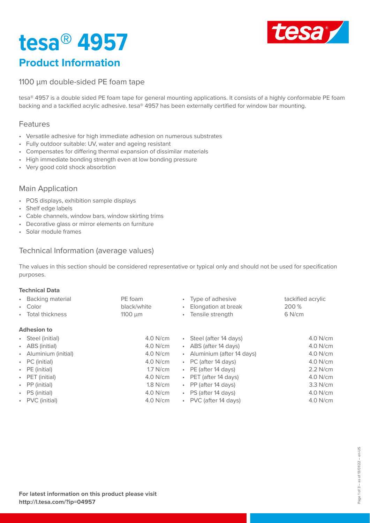# **tesa® 4957**

**Product Information**



### 1100 µm double-sided PE foam tape

tesa® 4957 is a double sided PE foam tape for general mounting applications. It consists of a highly conformable PE foam backing and a tackified acrylic adhesive. tesa® 4957 has been externally certified for window bar mounting.

#### Features

- Versatile adhesive for high immediate adhesion on numerous substrates
- Fully outdoor suitable: UV, water and ageing resistant
- Compensates for differing thermal expansion of dissimilar materials
- High immediate bonding strength even at low bonding pressure
- Very good cold shock absorbtion

#### Main Application

- POS displays, exhibition sample displays
- Shelf edge labels
- Cable channels, window bars, window skirting trims
- Decorative glass or mirror elements on furniture
- Solar module frames

#### Technical Information (average values)

The values in this section should be considered representative or typical only and should not be used for specification purposes.

#### **Technical Data**

| • Backing material<br>• Color<br>• Total thickness | PE foam<br>black/white<br>$1100 \mu m$ | • Type of adhesive<br>• Elongation at break<br>• Tensile strength | tackified acrylic<br>200 %<br>$6$ N/cm |
|----------------------------------------------------|----------------------------------------|-------------------------------------------------------------------|----------------------------------------|
| <b>Adhesion to</b>                                 |                                        |                                                                   |                                        |
| • Steel (initial)                                  | $4.0$ N/cm                             | • Steel (after 14 days)                                           | 4.0 N/cm                               |
| • ABS (initial)                                    | $4.0$ N/cm                             | • ABS (after 14 days)                                             | 4.0 N/cm                               |
| • Aluminium (initial)                              | $4.0$ N/cm                             | • Aluminium (after 14 days)                                       | 4.0 N/cm                               |
| $\cdot$ PC (initial)                               | $4.0$ N/cm                             | • PC (after 14 days)                                              | 4.0 N/cm                               |
| $\cdot$ PE (initial)                               | $1.7$ N/cm                             | $\cdot$ PE (after 14 days)                                        | 2.2 N/cm                               |
| • PET (initial)                                    | $4.0$ N/cm                             | • PET (after 14 days)                                             | 4.0 N/cm                               |
| • PP (initial)                                     | $1.8$ N/cm                             | • PP (after 14 days)                                              | 3.3 N/cm                               |
| $\cdot$ PS (initial)                               | $4.0$ N/cm                             | • PS (after 14 days)                                              | 4.0 N/cm                               |
| • PVC (initial)                                    | $4.0$ N/cm                             | • PVC (after 14 days)                                             | 4.0 N/cm                               |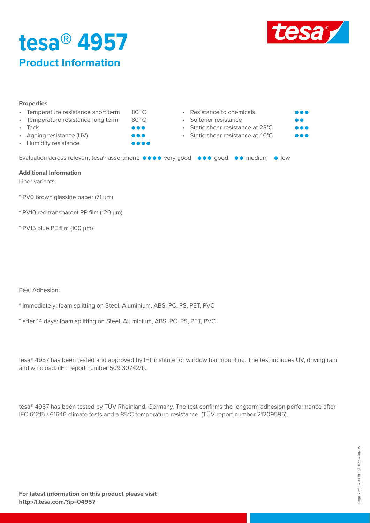

## **tesa® 4957 Product Information**

| <b>Properties</b> |                                     |        |  |
|-------------------|-------------------------------------|--------|--|
|                   | • Temperature resistance short term | 80 °C. |  |
|                   | • Temperature resistance long term  | 80 °C  |  |
|                   | • Tack                              | .      |  |

- Ageing resistance (UV)
- Humidity resistance

• Resistance to chemicals • Softener resistance • Static shear resistance at 23°C • Static shear resistance at 40°C **. . .** 

**...** 

Evaluation across relevant tesa® assortment:  $\bullet \bullet \bullet \bullet$  very good  $\bullet \bullet \bullet$  good  $\bullet \bullet$  medium  $\bullet$  low

#### **Additional Information**

Liner variants:

- \* PV0 brown glassine paper (71 µm)
- \* PV10 red transparent PP film (120 µm)
- \* PV15 blue PE film (100 µm)

Peel Adhesion:

- \* immediately: foam splitting on Steel, Aluminium, ABS, PC, PS, PET, PVC
- \* after 14 days: foam splitting on Steel, Aluminium, ABS, PC, PS, PET, PVC

tesa® 4957 has been tested and approved by IFT institute for window bar mounting. The test includes UV, driving rain and windload. (IFT report number 509 30742/1).

tesa® 4957 has been tested by TÜV Rheinland, Germany. The test confirms the longterm adhesion performance after IEC 61215 / 61646 climate tests and a 85°C temperature resistance. (TÜV report number 21209595).